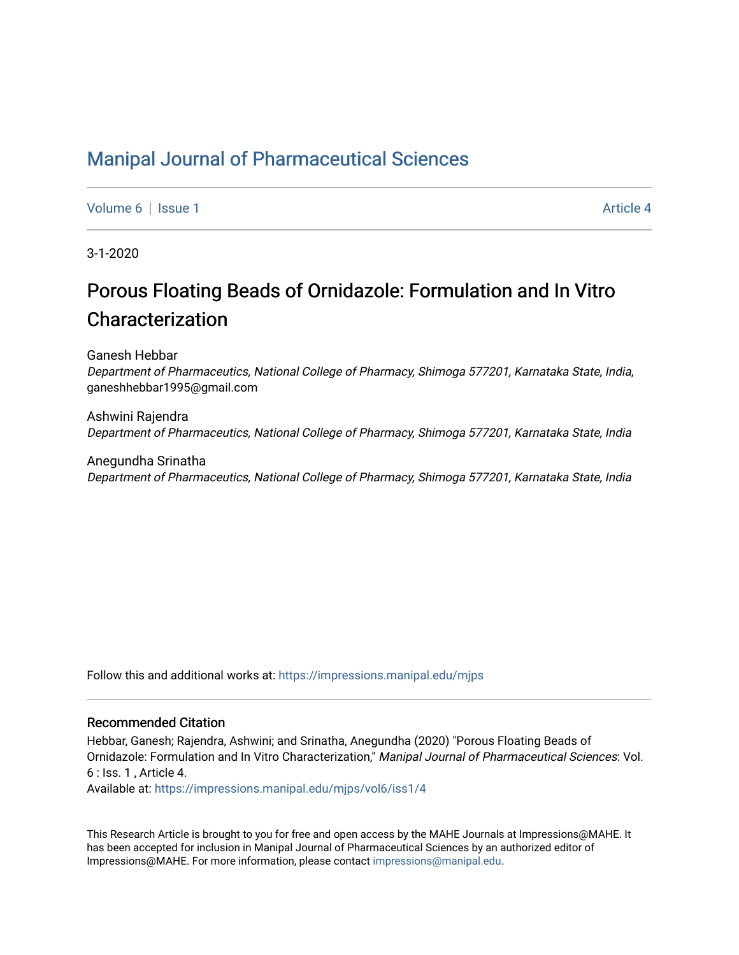# [Manipal Journal of Pharmaceutical Sciences](https://impressions.manipal.edu/mjps)

[Volume 6](https://impressions.manipal.edu/mjps/vol6) | [Issue 1](https://impressions.manipal.edu/mjps/vol6/iss1) Article 4

3-1-2020

# Porous Floating Beads of Ornidazole: Formulation and In Vitro Characterization

Ganesh Hebbar

Department of Pharmaceutics, National College of Pharmacy, Shimoga 577201, Karnataka State, India, ganeshhebbar1995@gmail.com

Ashwini Rajendra Department of Pharmaceutics, National College of Pharmacy, Shimoga 577201, Karnataka State, India

Anegundha Srinatha Department of Pharmaceutics, National College of Pharmacy, Shimoga 577201, Karnataka State, India

Follow this and additional works at: [https://impressions.manipal.edu/mjps](https://impressions.manipal.edu/mjps?utm_source=impressions.manipal.edu%2Fmjps%2Fvol6%2Fiss1%2F4&utm_medium=PDF&utm_campaign=PDFCoverPages)

### Recommended Citation

Hebbar, Ganesh; Rajendra, Ashwini; and Srinatha, Anegundha (2020) "Porous Floating Beads of Ornidazole: Formulation and In Vitro Characterization," Manipal Journal of Pharmaceutical Sciences: Vol. 6 : Iss. 1 , Article 4.

Available at: [https://impressions.manipal.edu/mjps/vol6/iss1/4](https://impressions.manipal.edu/mjps/vol6/iss1/4?utm_source=impressions.manipal.edu%2Fmjps%2Fvol6%2Fiss1%2F4&utm_medium=PDF&utm_campaign=PDFCoverPages)

This Research Article is brought to you for free and open access by the MAHE Journals at Impressions@MAHE. It has been accepted for inclusion in Manipal Journal of Pharmaceutical Sciences by an authorized editor of Impressions@MAHE. For more information, please contact [impressions@manipal.edu](mailto:impressions@manipal.edu).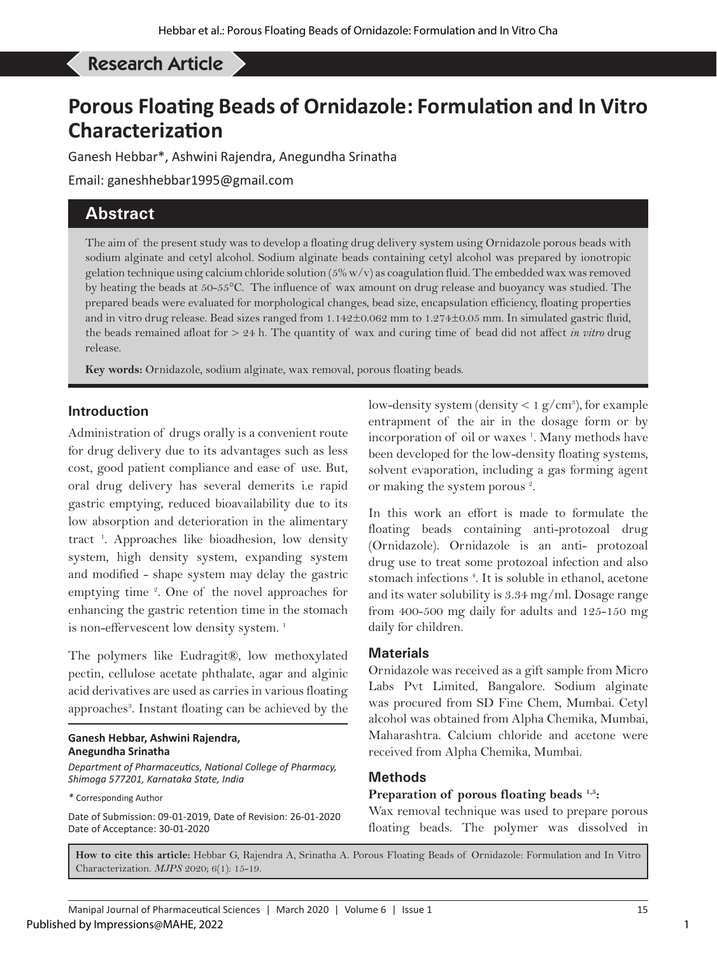# Hebbar G *et al*: Porous Floating Beads of Ornidazole: Formulation and In Vitro Characterization Research Article

# **Porous Floating Beads of Ornidazole: Formulation and In Vitro Characterization**

Ganesh Hebbar\*, Ashwini Rajendra, Anegundha Srinatha

Email: ganeshhebbar1995@gmail.com

## **Abstract**

The aim of the present study was to develop a floating drug delivery system using Ornidazole porous beads with sodium alginate and cetyl alcohol. Sodium alginate beads containing cetyl alcohol was prepared by ionotropic gelation technique using calcium chloride solution ( $5\%$  w/v) as coagulation fluid. The embedded wax was removed by heating the beads at 50-55°C. The influence of wax amount on drug release and buoyancy was studied. The prepared beads were evaluated for morphological changes, bead size, encapsulation efficiency, floating properties and in vitro drug release. Bead sizes ranged from 1.142±0.062 mm to 1.274±0.05 mm. In simulated gastric fluid, the beads remained afloat for > 24 h. The quantity of wax and curing time of bead did not affect *in vitro* drug release.

**Key words:** Ornidazole, sodium alginate, wax removal, porous floating beads.

### **Introduction**

Administration of drugs orally is a convenient route for drug delivery due to its advantages such as less cost, good patient compliance and ease of use. But, oral drug delivery has several demerits i.e rapid gastric emptying, reduced bioavailability due to its low absorption and deterioration in the alimentary tract 1 . Approaches like bioadhesion, low density system, high density system, expanding system and modified - shape system may delay the gastric emptying time <sup>2</sup>. One of the novel approaches for enhancing the gastric retention time in the stomach is non-effervescent low density system.<sup>1</sup>

The polymers like Eudragit®, low methoxylated pectin, cellulose acetate phthalate, agar and alginic acid derivatives are used as carries in various floating approaches<sup>3</sup>. Instant floating can be achieved by the

### **Ganesh Hebbar, Ashwini Rajendra, Anegundha Srinatha**

*Department of Pharmaceutics, National College of Pharmacy, Shimoga 577201, Karnataka State, India*

*\** Corresponding Author

Date of Submission: 09-01-2019, Date of Revision: 26-01-2020 Date of Acceptance: 30-01-2020

low-density system (density  $< 1 g/cm<sup>3</sup>$ ), for example entrapment of the air in the dosage form or by incorporation of oil or waxes<sup>1</sup>. Many methods have been developed for the low-density floating systems, solvent evaporation, including a gas forming agent or making the system porous<sup>2</sup>.

In this work an effort is made to formulate the floating beads containing anti-protozoal drug (Ornidazole). Ornidazole is an anti- protozoal drug use to treat some protozoal infection and also stomach infections<sup>4</sup>. It is soluble in ethanol, acetone and its water solubility is 3.34 mg/ml. Dosage range from 400-500 mg daily for adults and 125-150 mg daily for children.

### **Materials**

Ornidazole was received as a gift sample from Micro Labs Pvt Limited, Bangalore. Sodium alginate was procured from SD Fine Chem, Mumbai. Cetyl alcohol was obtained from Alpha Chemika, Mumbai, Maharashtra. Calcium chloride and acetone were received from Alpha Chemika, Mumbai.

### **Methods**

### **Preparation of porous floating beads 1,5:**

Wax removal technique was used to prepare porous floating beads. The polymer was dissolved in

**How to cite this article:** Hebbar G, Rajendra A, Srinatha A. Porous Floating Beads of Ornidazole: Formulation and In Vitro Characterization. *MJPS* 2020; 6(1): 15-19.

1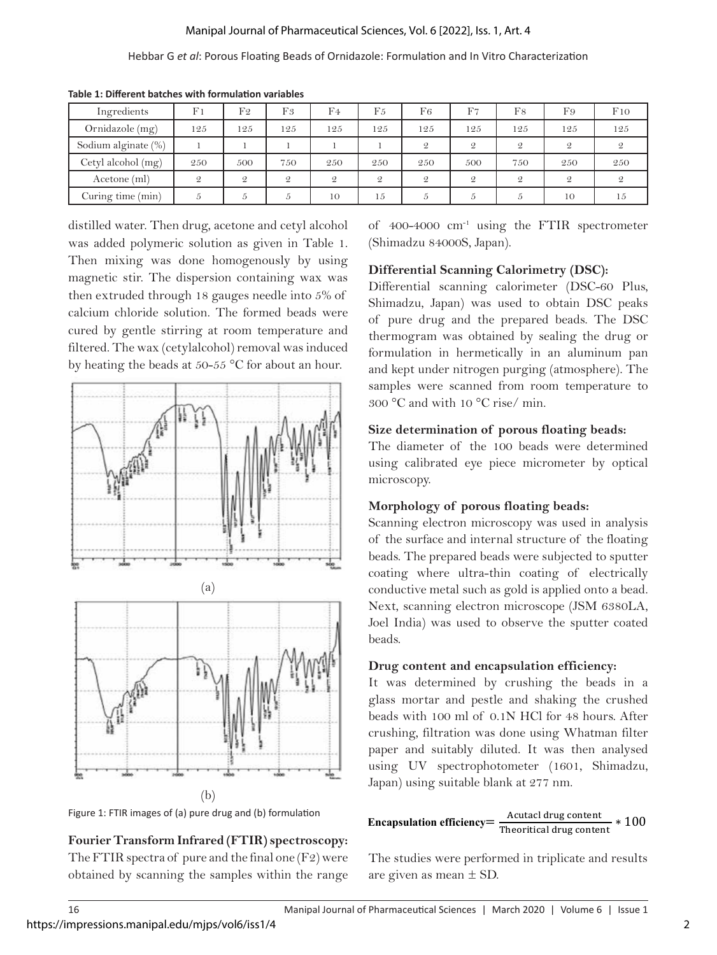### Manipal Journal of Pharmaceutical Sciences, Vol. 6 [2022], Iss. 1, Art. 4

### Hebbar G *et al*: Porous Floating Beads of Ornidazole: Formulation and In Vitro Characterization

| Ingredients         | F <sub>1</sub> | F <sub>2</sub> | F3             | F4            | F <sub>5</sub> | F <sub>6</sub> | F7            | F8            | F9            | F10 |
|---------------------|----------------|----------------|----------------|---------------|----------------|----------------|---------------|---------------|---------------|-----|
| Ornidazole (mg)     | 125            | 125            | 125            | 125           | 125            | 125            | 125           | 125           | 125           | 125 |
| Sodium alginate (%) |                |                |                |               |                | $\mathcal{Q}$  | $\mathcal{Q}$ | $\mathcal{Q}$ | $\mathcal{Q}$ |     |
| Cetyl alcohol (mg)  | 250            | 500            | 750            | 250           | 250            | 250            | 500           | 750           | 250           | 250 |
| Acetone (ml)        |                | $\mathcal{Q}$  | $\mathfrak{D}$ | $\mathcal{Q}$ | $\mathcal{Q}$  | $\mathcal{Q}$  | $\mathcal{Q}$ | $\mathcal{Q}$ | $\mathcal{Q}$ |     |
| Curing time (min)   |                | Ð              | $\mathcal{D}$  | 10            | 15             | b.             | b.            | 5             | 10            | 15  |

**Table 1: Different batches with formulation variables**

distilled water. Then drug, acetone and cetyl alcohol was added polymeric solution as given in Table 1. Then mixing was done homogenously by using magnetic stir. The dispersion containing wax was then extruded through 18 gauges needle into 5% of calcium chloride solution. The formed beads were cured by gentle stirring at room temperature and filtered. The wax (cetylalcohol) removal was induced by heating the beads at 50-55  $^{\circ}$ C for about an hour.





### **Fourier Transform Infrared (FTIR) spectroscopy:**

The FTIR spectra of pure and the final one (F2) were obtained by scanning the samples within the range of 400-4000 cm-1 using the FTIR spectrometer (Shimadzu 84000S, Japan).

### **Differential Scanning Calorimetry (DSC):**

Differential scanning calorimeter (DSC-60 Plus,  $\frac{1}{100}$  3<sup>76</sup> OI Shimadzu, Japan) was used to obtain DSC peaks eaus were of pure drug and the prepared beads. The DSC ature and thermogram was obtained by sealing the drug or formulation in hermetically in an aluminum pan and kept under nitrogen purging (atmosphere). The samples were scanned from room temperature to  $300 °C$  and with  $10 °C$  rise/ min.

#### **Size determination of porous floating beads:**   $\rho$

 $\left\| \cdot \right\|$  and  $\left\| \cdot \right\|$  are determined in herminon in hermetical in  $\left\| \cdot \right\|$  and  $\left\| \cdot \right\|$  and  $\left\| \cdot \right\|$  and  $\left\| \cdot \right\|$  and  $\left\| \cdot \right\|$  and  $\left\| \cdot \right\|$  and  $\left\| \cdot \right\|$  and  $\left\| \cdot \right\|$  and  $\left\| \cdot \right\|$  $\mathbb{E}[\cdot]$  using calibrated eye piece micrometer by optical microscopy.

## **Morphology of porous floating beads:**

Scanning electron microscopy was used in analysis of the surface and internal structure of the floating beads. The prepared beads were subjected to sputter coating where ultra-thin coating of electrically conductive metal such as gold is applied onto a bead. Next, scanning electron microscope (JSM 6380LA,  $J$ oel India) was used to observe the sputter coated beads.  $\overline{\phantom{a}}$  conductive metal such as gold is applied on the applied onto a bead. Next, scanning electron as  $\overline{\phantom{a}}$ 

## **Drug content and encapsulation efficiency:**

**If**  $\begin{bmatrix} 1 & 1 \\ 1 & 1 \end{bmatrix}$  It was determined by crushing the beads in a It glass mortar and pestle and shaking the crushed beads with 100 ml of 0.1N HCl for 48 hours. After beads with 100 ml of 0.1N HCl for 18 hours. After crushing, filtration was done using Whatman filter  $\begin{array}{r} \hline \text{paper} \\ \text{paper} \end{array}$  or  $\begin{array}{r} \hline \text{output} \\ \text{v} \end{array}$ wing UV spectrophotometer (1601, Shimadzu, Japan) using suitable blank at 277 nm.

# **Encapsulation efficiency**  $=$   $\frac{\text{Actual drug content}}{\text{Theoretical drug content}} * 100$

The studies were performed in triplicate and results are given as mean ± SD.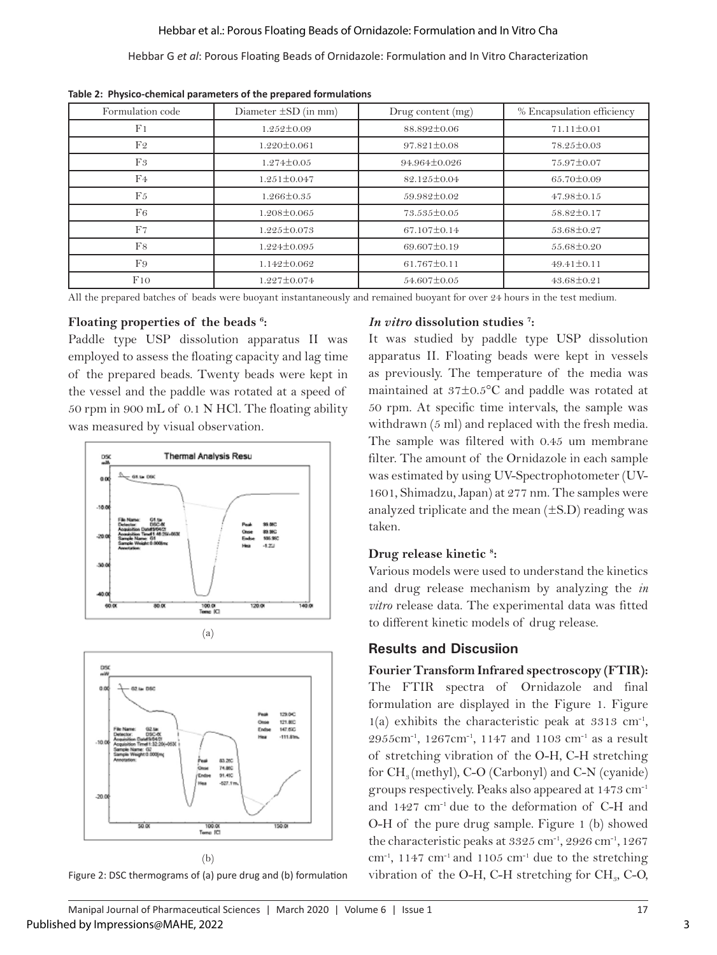### Hebbar et al.: Porous Floating Beads of Ornidazole: Formulation and In Vitro Cha

### Hebbar G *et al*: Porous Floating Beads of Ornidazole: Formulation and In Vitro Characterization

| Formulation code | Diameter $\pm SD$ (in mm) | Drug content $(mg)$ | % Encapsulation efficiency |  |
|------------------|---------------------------|---------------------|----------------------------|--|
| F <sub>1</sub>   | $1.252 \pm 0.09$          | 88.892±0.06         | $71.11 \pm 0.01$           |  |
| F <sub>2</sub>   | $1.220 \pm 0.061$         | $97.821 \pm 0.08$   | 78.25±0.03                 |  |
| F <sub>3</sub>   | $1.274 \pm 0.05$          | 94.964±0.026        | 75.97±0.07                 |  |
| F4               | $1.251 \pm 0.047$         | 82.125±0.04         | 65.70±0.09                 |  |
| F <sub>5</sub>   | $1.266 \pm 0.35$          | 59.982±0.02         | $47.98 \pm 0.15$           |  |
| F <sub>6</sub>   | $1.208 \pm 0.065$         | 73.535±0.05         | 58.82±0.17                 |  |
| F7               | $1.225 \pm 0.073$         | $67.107 \pm 0.14$   | 53.68±0.27                 |  |
| F8               | 1.224±0.095               | 69.607±0.19         | $55.68 \pm 0.20$           |  |
| F9               | $1.142 \pm 0.062$         | $61.767 \pm 0.11$   | $49.41 \pm 0.11$           |  |
| F10              | $1.227 \pm 0.074$         | $54.607 \pm 0.05$   | $43.68 \pm 0.21$           |  |

**Table 2: Physico-chemical parameters of the prepared formulations**

All the prepared batches of beads were buoyant instantaneously and remained buoyant for over 24 hours in the test medium.

### **Floating properties of the beads 6 :**

Paddle type USP dissolution apparatus II was employed to assess the floating capacity and lag time of the prepared beads. Twenty beads were kept in the vessel and the paddle was rotated at a speed of 50 rpm in 900 mL of 0.1 N HCl. The floating ability was measured by visual observation.





Figure 2: DSC thermograms of (a) pure drug and (b) formulation

### *In vitro* **dissolution studies 7 :**

It was studied by paddle type USP dissolution apparatus II. Floating beads were kept in vessels as previously. The temperature of the media was maintained at 37±0.5°C and paddle was rotated at 50 rpm. At specific time intervals, the sample was withdrawn (5 ml) and replaced with the fresh media. The sample was filtered with 0.45 um membrane filter. The amount of the Ornidazole in each sample was estimated by using UV-Spectrophotometer (UV-1601, Shimadzu, Japan) at 277 nm. The samples were analyzed triplicate and the mean  $(\pm S.D)$  reading was taken.

### **Drug release kinetic 8 :**

Various models were used to understand the kinetics and drug release mechanism by analyzing the *in vitro* release data. The experimental data was fitted to different kinetic models of drug release.

### **Results and Discusiion**

**Fourier Transform Infrared spectroscopy (FTIR):** The FTIR spectra of Ornidazole and final formulation are displayed in the Figure 1. Figure  $1(a)$  exhibits the characteristic peak at 3313 cm<sup>-1</sup>, 2955cm<sup>-1</sup>, 1267cm<sup>-1</sup>, 1147 and 1103 cm<sup>-1</sup> as a result of stretching vibration of the O-H, C-H stretching for  $CH<sub>s</sub>$  (methyl), C-O (Carbonyl) and C-N (cyanide) groups respectively. Peaks also appeared at 1473 cm-1 and 1427 cm-1 due to the deformation of C-H and O-H of the pure drug sample. Figure 1 (b) showed the characteristic peaks at  $3325$  cm<sup>-1</sup>,  $2926$  cm<sup>-1</sup>,  $1267$ cm<sup>-1</sup>, 1147 cm<sup>-1</sup> and 1105 cm<sup>-1</sup> due to the stretching vibration of the O-H, C-H stretching for  $CH<sub>s</sub>$ , C-O,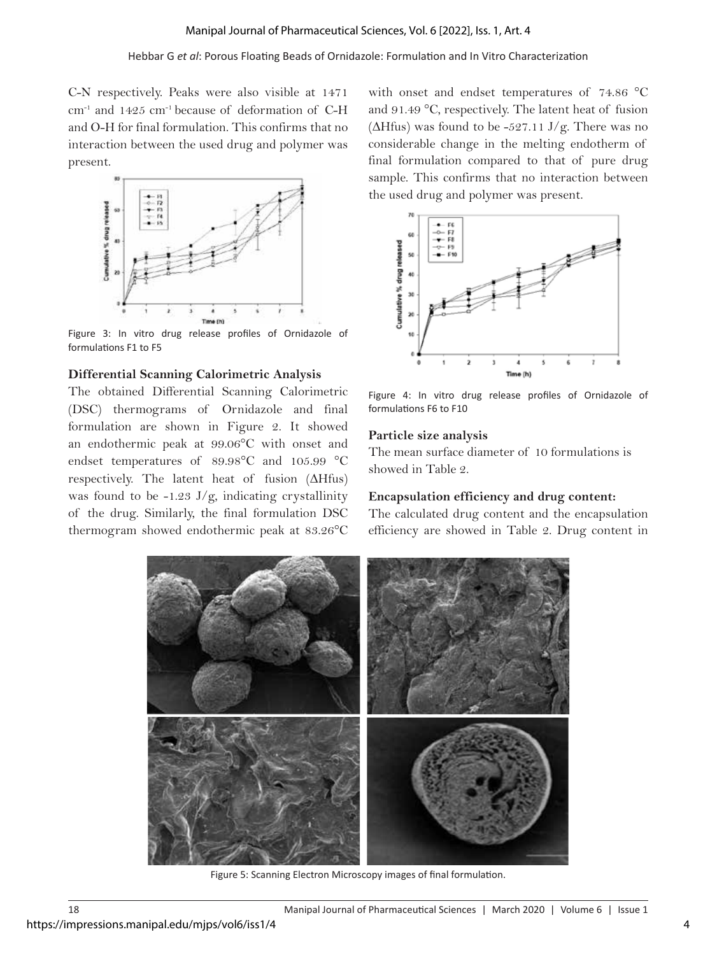### Hebbar G *et al*: Porous Floating Beads of Ornidazole: Formulation and In Vitro Characterization

C-N respectively. Peaks were also visible at 1471  $cm^{-1}$  and 1425  $cm^{-1}$  because of deformation of C-H and O-H for final formulation. This confirms that no interaction between the used drug and polymer was present.



Figure 3: In vitro drug release profiles of Ornidazole of formulations F1 to F5

### **Differential Scanning Calorimetric Analysis**

The obtained Differential Scanning Calorimetric (DSC) thermograms of Ornidazole and final formulation are shown in Figure 2. It showed an endothermic peak at 99.06°C with onset and endset temperatures of 89.98°C and 105.99 °C respectively. The latent heat of fusion (ΔHfus) was found to be  $-1.23$  J/g, indicating crystallinity of the drug. Similarly, the final formulation DSC thermogram showed endothermic peak at 83.26°C

with onset and endset temperatures of 74.86 °C and 91.49 °C, respectively. The latent heat of fusion ( $\Delta H$ fus) was found to be -527.11 J/g. There was no considerable change in the melting endotherm of final formulation compared to that of pure drug sample. This confirms that no interaction between the used drug and polymer was present.



Figure 4: In vitro drug release profiles of Ornidazole of formulations F6 to F10

### **Particle size analysis**

The mean surface diameter of 10 formulations is showed in Table 2.

### **Encapsulation efficiency and drug content:**

The calculated drug content and the encapsulation efficiency are showed in Table 2. Drug content in



Figure 5: Scanning Electron Microscopy images of final formulation.